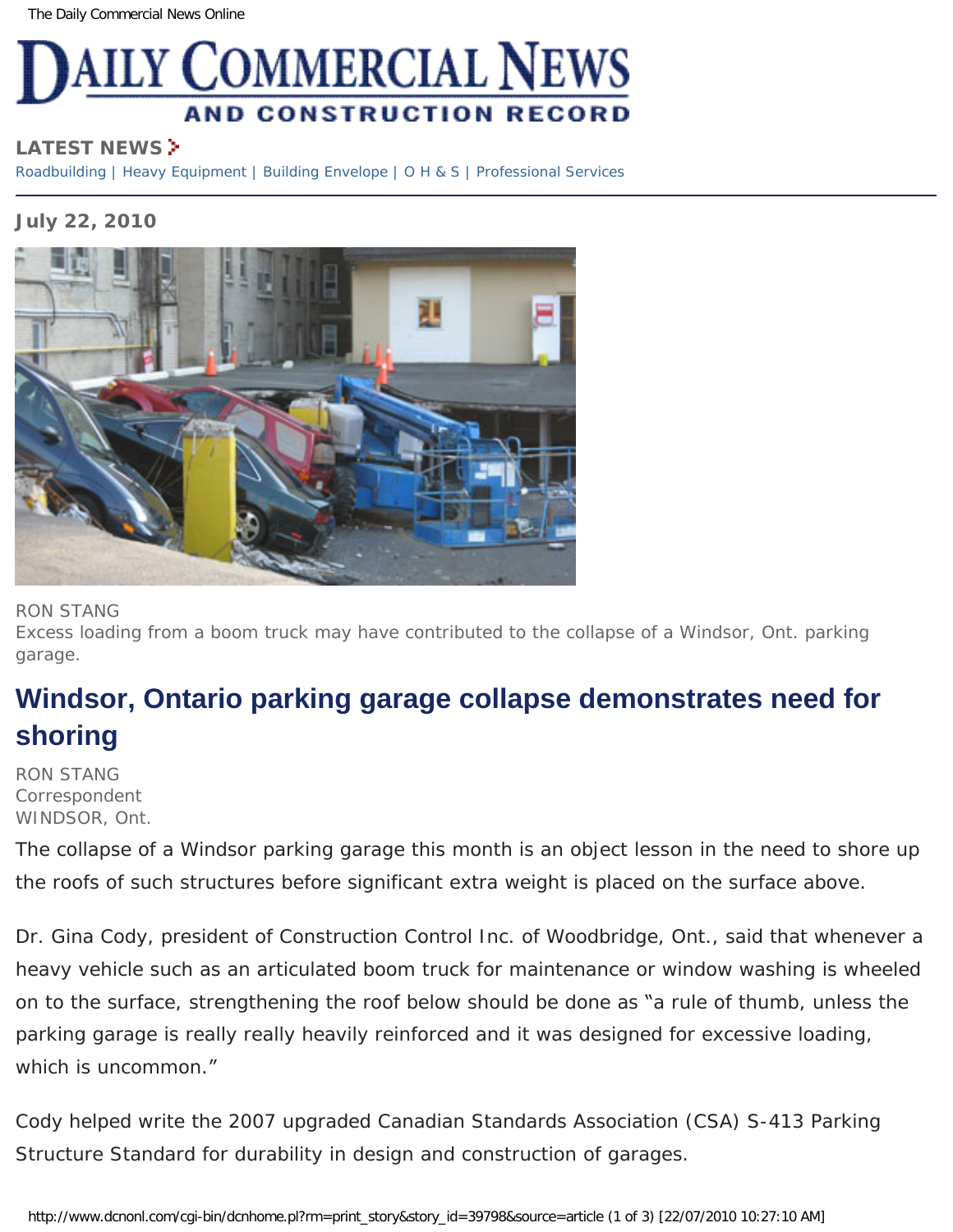

## **LATEST NEWS**

[Roadbuilding](http://www.dcnonl.com/recent/roadbuilding) | [Heavy Equipment](http://www.dcnonl.com/recent/heavyequipment) | [Building Envelope](http://www.dcnonl.com/recent/buildingenvelope) | [O H & S](http://www.dcnonl.com/recent/ohs) | [Professional Services](http://www.dcnonl.com/recent/profservices)

## **July 22, 2010**



## RON STANG

Excess loading from a boom truck may have contributed to the collapse of a Windsor, Ont. parking garage.

## **Windsor, Ontario parking garage collapse demonstrates need for shoring**

RON STANG Correspondent WINDSOR, Ont.

The collapse of a Windsor parking garage this month is an object lesson in the need to shore up the roofs of such structures before significant extra weight is placed on the surface above.

Dr. Gina Cody, president of Construction Control Inc. of Woodbridge, Ont., said that whenever a heavy vehicle such as an articulated boom truck for maintenance or window washing is wheeled on to the surface, strengthening the roof below should be done as "a rule of thumb, unless the parking garage is really really heavily reinforced and it was designed for excessive loading, which is uncommon."

Cody helped write the 2007 upgraded Canadian Standards Association (CSA) S-413 Parking Structure Standard for durability in design and construction of garages.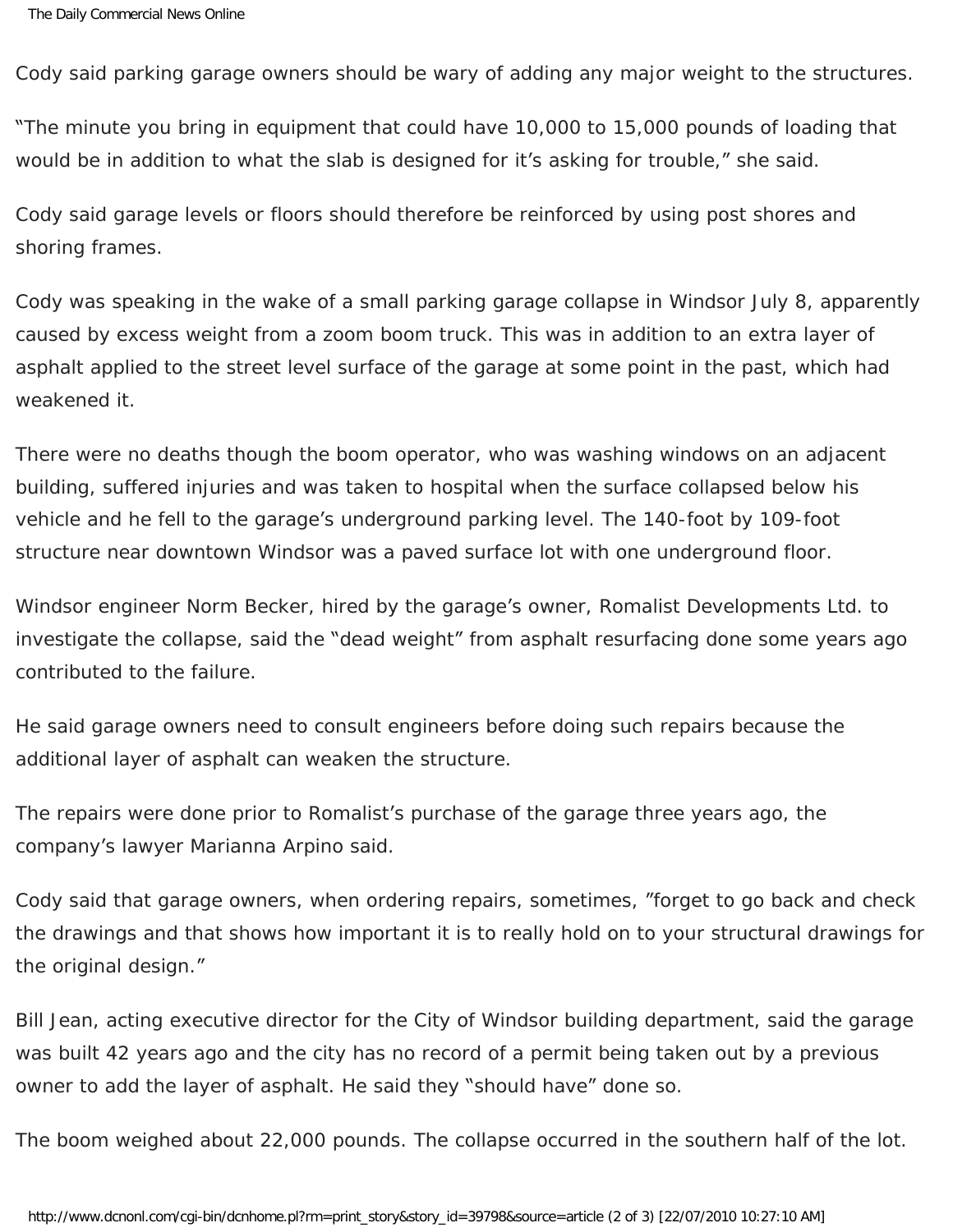Cody said parking garage owners should be wary of adding any major weight to the structures.

"The minute you bring in equipment that could have 10,000 to 15,000 pounds of loading that would be in addition to what the slab is designed for it's asking for trouble," she said.

Cody said garage levels or floors should therefore be reinforced by using post shores and shoring frames.

Cody was speaking in the wake of a small parking garage collapse in Windsor July 8, apparently caused by excess weight from a zoom boom truck. This was in addition to an extra layer of asphalt applied to the street level surface of the garage at some point in the past, which had weakened it.

There were no deaths though the boom operator, who was washing windows on an adjacent building, suffered injuries and was taken to hospital when the surface collapsed below his vehicle and he fell to the garage's underground parking level. The 140-foot by 109-foot structure near downtown Windsor was a paved surface lot with one underground floor.

Windsor engineer Norm Becker, hired by the garage's owner, Romalist Developments Ltd. to investigate the collapse, said the "dead weight" from asphalt resurfacing done some years ago contributed to the failure.

He said garage owners need to consult engineers before doing such repairs because the additional layer of asphalt can weaken the structure.

The repairs were done prior to Romalist's purchase of the garage three years ago, the company's lawyer Marianna Arpino said.

Cody said that garage owners, when ordering repairs, sometimes, "forget to go back and check the drawings and that shows how important it is to really hold on to your structural drawings for the original design."

Bill Jean, acting executive director for the City of Windsor building department, said the garage was built 42 years ago and the city has no record of a permit being taken out by a previous owner to add the layer of asphalt. He said they "should have" done so.

The boom weighed about 22,000 pounds. The collapse occurred in the southern half of the lot.